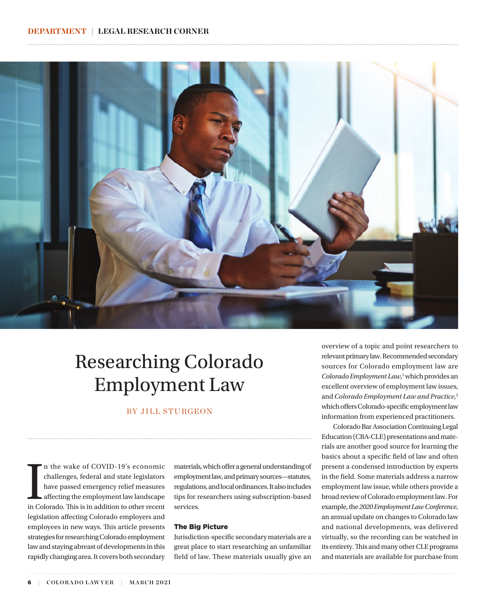

## Researching Colorado Employment Law

#### BY JILL STURGEON

In the wake of COVID-19's economic challenges, federal and state legislators have passed emergency relief measures affecting the employment law landscape in Colorado. This is in addition to other recent n the wake of COVID-19's economic challenges, federal and state legislators have passed emergency relief measures affecting the employment law landscape legislation affecting Colorado employers and employees in new ways. This article presents strategies for researching Colorado employment law and staying abreast of developments in this rapidly changing area. It covers both secondary

materials, which offer a general understanding of employment law, and primary sources—statutes, regulations, and local ordinances. It also includes tips for researchers using subscription-based services.

#### The Big Picture

Jurisdiction-specific secondary materials are a great place to start researching an unfamiliar field of law. These materials usually give an

overview of a topic and point researchers to relevant primary law. Recommended secondary sources for Colorado employment law are Colorado Employment Law,<sup>1</sup> which provides an excellent overview of employment law issues, and *Colorado Employment Law and Practice*, 2 which offers Colorado-specific employment law information from experienced practitioners.

 Colorado Bar Association Continuing Legal Education (CBA-CLE) presentations and materials are another good source for learning the basics about a specific field of law and often present a condensed introduction by experts in the field. Some materials address a narrow employment law issue, while others provide a broad review of Colorado employment law. For example, the *2020 Employment Law Conference*, an annual update on changes to Colorado law and national developments, was delivered virtually, so the recording can be watched in its entirety. This and many other CLE programs and materials are available for purchase from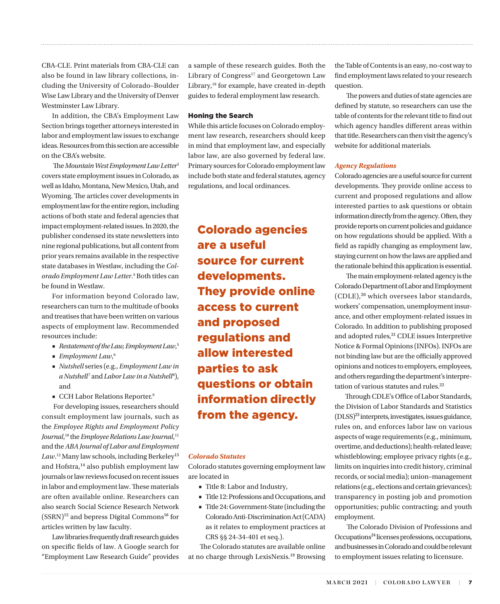CBA-CLE. Print materials from CBA-CLE can also be found in law library collections, including the University of Colorado–Boulder Wise Law Library and the University of Denver Westminster Law Library.

In addition, the CBA's Employment Law Section brings together attorneys interested in labor and employment law issues to exchange ideas. Resources from this section are accessible on the CBA's website.

 The *Mountain West Employment Law Letter*3 covers state employment issues in Colorado, as well as Idaho, Montana, New Mexico, Utah, and Wyoming. The articles cover developments in employment law for the entire region, including actions of both state and federal agencies that impact employment-related issues. In 2020, the publisher condensed its state newsletters into nine regional publications, but all content from prior years remains available in the respective state databases in Westlaw, including the *Colorado Employment Law Letter*. 4 Both titles can be found in Westlaw.

For information beyond Colorado law, researchers can turn to the multitude of books and treatises that have been written on various aspects of employment law. Recommended resources include:

- *Restatement of the Law, Employment Law*,<sup>5</sup>
- *Employment Law*,<sup>6</sup>
- *Nutshell* series (e.g., *Employment Law in*  a Nutshell<sup>7</sup> and *Labor Law in a Nutshell<sup>8</sup>*), and
- CCH Labor Relations Reporter.<sup>9</sup>

 For developing issues, researchers should consult employment law journals, such as the *Employee Rights and Employment Policy*  Journal,<sup>10</sup> the *Employee Relations Law Journal*,<sup>11</sup> and the *ABA Journal of Labor and Employment*  Law.<sup>12</sup> Many law schools, including Berkeley<sup>13</sup> and Hofstra,<sup>14</sup> also publish employment law journals or law reviews focused on recent issues in labor and employment law. These materials are often available online. Researchers can also search Social Science Research Network  $(SSRN)^{15}$  and bepress Digital Commons<sup>16</sup> for articles written by law faculty.

Law libraries frequently draft research guides on specific fields of law. A Google search for "Employment Law Research Guide" provides a sample of these research guides. Both the Library of Congress<sup>17</sup> and Georgetown Law Library,18 for example, have created in-depth guides to federal employment law research.

#### Honing the Search

While this article focuses on Colorado employment law research, researchers should keep in mind that employment law, and especially labor law, are also governed by federal law. Primary sources for Colorado employment law include both state and federal statutes, agency regulations, and local ordinances.

Colorado agencies are a useful source for current developments. They provide online access to current and proposed regulations and allow interested parties to ask questions or obtain information directly from the agency.

#### *Colorado Statutes*

Colorado statutes governing employment law are located in

- Title 8: Labor and Industry,
- Title 12: Professions and Occupations, and
- Title 24: Government-State (including the Colorado Anti-Discrimination Act (CADA) as it relates to employment practices at CRS §§ 24-34-401 et seq.).

 The Colorado statutes are available online at no charge through LexisNexis.19 Browsing the Table of Contents is an easy, no-cost way to find employment laws related to your research question.

 The powers and duties of state agencies are defined by statute, so researchers can use the table of contents for the relevant title to find out which agency handles different areas within that title. Researchers can then visit the agency's website for additional materials.

#### *Agency Regulations*

Colorado agencies are a useful source for current developments. They provide online access to current and proposed regulations and allow interested parties to ask questions or obtain information directly from the agency. Often, they provide reports on current policies and guidance on how regulations should be applied. With a field as rapidly changing as employment law, staying current on how the laws are applied and the rationale behind this application is essential.

 The main employment-related agency is the Colorado Department of Labor and Employment (CDLE),20 which oversees labor standards, workers' compensation, unemployment insurance, and other employment-related issues in Colorado. In addition to publishing proposed and adopted rules,<sup>21</sup> CDLE issues Interpretive Notice & Formal Opinions (INFOs). INFOs are not binding law but are the officially approved opinions and notices to employers, employees, and others regarding the department's interpretation of various statutes and rules.<sup>22</sup>

Through CDLE's Office of Labor Standards, the Division of Labor Standards and Statistics (DLSS)23 interprets, investigates, issues guidance, rules on, and enforces labor law on various aspects of wage requirements (e.g., minimum, overtime, and deductions); health-related leave; whistleblowing; employee privacy rights (e.g., limits on inquiries into credit history, criminal records, or social media); union–management relations (e.g., elections and certain grievances); transparency in posting job and promotion opportunities; public contracting; and youth employment.

 The Colorado Division of Professions and Occupations24 licenses professions, occupations, and businesses in Colorado and could be relevant to employment issues relating to licensure.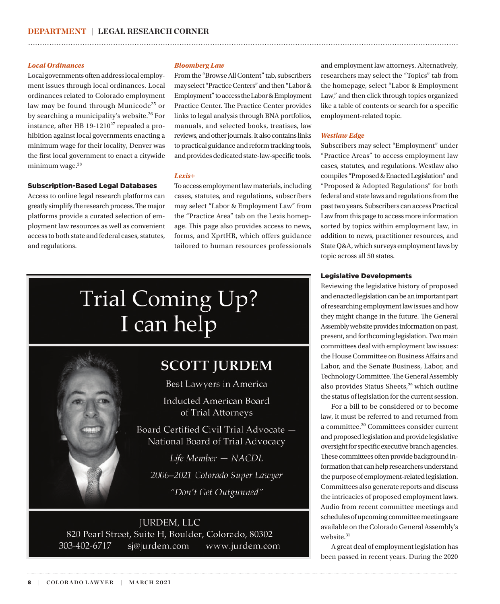#### *Local Ordinances*

Local governments often address local employment issues through local ordinances. Local ordinances related to Colorado employment law may be found through Municode<sup>25</sup> or by searching a municipality's website.<sup>26</sup> For instance, after HB  $19-1210^{27}$  repealed a prohibition against local governments enacting a minimum wage for their locality, Denver was the first local government to enact a citywide minimum wage.<sup>28</sup>

#### Subscription-Based Legal Databases

Access to online legal research platforms can greatly simplify the research process. The major platforms provide a curated selection of employment law resources as well as convenient access to both state and federal cases, statutes, and regulations.

#### *Bloomberg Law*

From the "Browse All Content" tab, subscribers may select "Practice Centers" and then "Labor & Employment" to access the Labor & Employment Practice Center. The Practice Center provides links to legal analysis through BNA portfolios, manuals, and selected books, treatises, law reviews, and other journals. It also contains links to practical guidance and reform tracking tools, and provides dedicated state-law-specific tools.

#### *Lexis+*

To access employment law materials, including cases, statutes, and regulations, subscribers may select "Labor & Employment Law" from the "Practice Area" tab on the Lexis homepage. This page also provides access to news, forms, and XprtHR, which offers guidance tailored to human resources professionals

# **Trial Coming Up?** I can help

### **SCOTT JURDEM**

Best Lawyers in America

**Inducted American Board** of Trial Attorneys

Board Certified Civil Trial Advocate -National Board of Trial Advocacy

Life Member - NACDL 2006-2021 Colorado Super Lawyer "Don't Get Outgunned"

#### **JURDEM, LLC** 820 Pearl Street, Suite H, Boulder, Colorado, 80302 303-402-6717 sj@jurdem.com www.jurdem.com

and employment law attorneys. Alternatively, researchers may select the "Topics" tab from the homepage, select "Labor & Employment Law," and then click through topics organized like a table of contents or search for a specific employment-related topic.

#### *Westlaw Edge*

Subscribers may select "Employment" under "Practice Areas" to access employment law cases, statutes, and regulations. Westlaw also compiles "Proposed & Enacted Legislation" and "Proposed & Adopted Regulations" for both federal and state laws and regulations from the past two years. Subscribers can access Practical Law from this page to access more information sorted by topics within employment law, in addition to news, practitioner resources, and State Q&A, which surveys employment laws by topic across all 50 states.

#### Legislative Developments

Reviewing the legislative history of proposed and enacted legislation can be an important part of researching employment law issues and how they might change in the future. The General Assembly website provides information on past, present, and forthcoming legislation. Two main committees deal with employment law issues: the House Committee on Business Affairs and Labor, and the Senate Business, Labor, and Technology Committee. The General Assembly also provides Status Sheets,<sup>29</sup> which outline the status of legislation for the current session.

For a bill to be considered or to become law, it must be referred to and returned from a committee.30 Committees consider current and proposed legislation and provide legislative oversight for specific executive branch agencies. These committees often provide background information that can help researchers understand the purpose of employment-related legislation. Committees also generate reports and discuss the intricacies of proposed employment laws. Audio from recent committee meetings and schedules of upcoming committee meetings are available on the Colorado General Assembly's website.<sup>31</sup>

A great deal of employment legislation has been passed in recent years. During the 2020